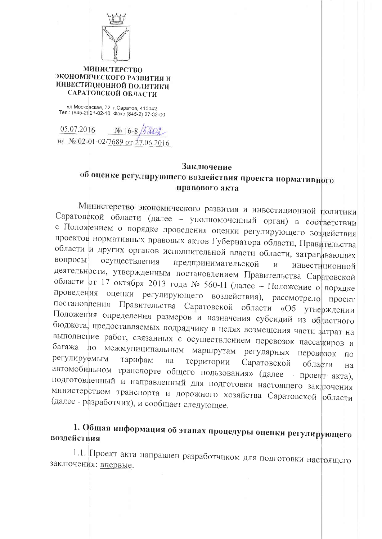

## **МИНИСТЕРСТВО** ЭКОНОМИЧЕСКОГО РАЗВИТИЯ И ИНВЕСТИЦИОННОЙ ПОЛИТИКИ САРАТОВСКОЙ ОБЛАСТИ

ул. Московская, 72, г. Саратов, 410042 Тел.: (845-2) 21-02-10; Факс (845-2) 27-32-00

05.07.2016  $N_0$  16-8 на № 02-01-02/7689 от 27.06.2016

## Заключение

## об оценке регулирующего воздействия проекта нормативного правового акта

Министерство экономического развития и инвестиционной политики Саратовской области (далее - уполномоченный орган) в соответствии с Положением о порядке проведения оценки регулирующего воздействия проектов нормативных правовых актов Губернатора области, Правительства области и других органов исполнительной власти области, затрагивающих вопросы осуществления предпринимательской  $\mathbf{M}$ инвестиционной деятельности, утвержденным постановлением Правительства Саратовской области от 17 октября 2013 года № 560-П (далее - Положение о порядке проведения оценки регулирующего воздействия), рассмотрело проект постановления Правительства Саратовской области «Об утверждении Положения определения размеров и назначения субсидий из областного бюджета, предоставляемых подрядчику в целях возмещения части затрат на выполнение работ, связанных с осуществлением перевозок пассажиров и багажа по межмуниципальным маршрутам регулярных перевозок  $\overline{10}$ регулируемым тарифам на территории Саратовской области на автомобильном транспорте общего пользования» (далее - проект акта), подготовленный и направленный для подготовки настоящего заключения министерством транспорта и дорожного хозяйства Саратовской области (далее - разработчик), и сообщает следующее.

## 1. Общая информация об этапах процедуры оценки регулирующего воздействия

1.1. Проект акта направлен разработчиком для подготовки настоящего заключения: впервые.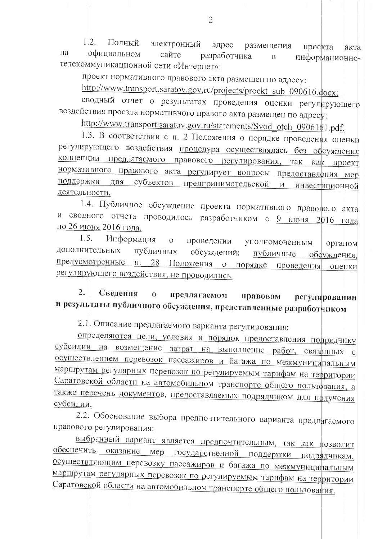$1.2$ Полный электронный адрес размещения проекта акта  $Ha$ официальном сайте разработчика  $\overline{B}$ информационнотелекоммуникационной сети «Интернет»:

проект нормативного правового акта размещен по адресу:

http://www.transport.saratov.gov.ru/projects/proekt\_sub\_090616.docx;

сводный отчет о результатах проведения оценки регулирующего воздействия проекта нормативного правого акта размещен по адресу:

http://www.transport.saratov.gov.ru/statements/Svod otch 0906161.pdf.

1.3. В соответствии с п. 2 Положения о порядке проведения оценки регулирующего воздействия процедура осуществлялась без обсуждения концепции предлагаемого правового регулирования, так как проект нормативного правового акта регулирует вопросы предоставления мер поддержки для субъектов предпринимательской и инвестиционной деятельности.

1.4. Публичное обсуждение проекта нормативного правового акта и сводного отчета проводилось разработчиком с 9 июня 2016 года по 26 июня 2016 года.

 $1.5.$ Информация  $\overline{O}$ проведении уполномоченным органом дополнительных публичных обсуждений: публичные обсуждения, предусмотренные п. 28 Положения о порядке проведения оценки регулирующего воздействия, не проводились.

 $\overline{2}$ . Свеления  $\mathbf{o}$ предлагаемом правовом регулировании и результаты публичного обсуждения, представленные разработчиком

2.1. Описание предлагаемого варианта регулирования:

определяются цели, условия и порядок предоставления подрядчику субсидии на возмещение затрат на выполнение работ, связанных с осуществлением перевозок пассажиров и багажа по межмуниципальным маршрутам регулярных перевозок по регулируемым тарифам на территории Саратовской области на автомобильном транспорте общего пользования, а также перечень документов, предоставляемых подрядчиком для получения субсидии.

2.2 Обоснование выбора предпочтительного варианта предлагаемого правового регулирования:

выбранный вариант является предпочтительным, так как позволит обеспечить оказание мер государственной поддержки подрядчикам, осуществляющим перевозку пассажиров и багажа по межмуниципальным маршрутам регулярных перевозок по регулируемым тарифам на территории Саратовской области на автомобильном транспорте общего пользования.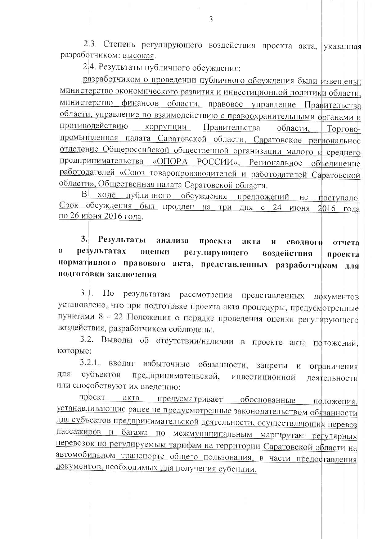2.3. Степень регулирующего воздействия проекта акта, указанная разработчиком: высокая.

2.4. Результаты публичного обсуждения:

разработчиком о проведении публичного обсуждения были извещены: министерство экономического развития и инвестиционной политики области, министерство финансов области, правовое управление Правительства области, управление по взаимодействию с правоохранительными органами и противодействию коррупции Правительства области. Торговопромышленная палата Саратовской области, Саратовское региональное отделение Общероссийской общественной организации малого и среднего предпринимательства «ОПОРА РОССИИ», Региональное объединение работодателей «Союз товаропроизводителей и работодателей Саратовской области», Общественная палата Саратовской области.

В ходе публичного обсуждения предложений не поступало. Срок обсуждения был продлен на три дня с 24 июня 2016 года по 26 июня 2016 года.

3. Результаты проекта анализа акта  $\mathbf{H}$ сводного отчета  $\mathbf{o}$ результатах оценки регулирующего воздействия проекта нормативного правового акта, представленных разработчиком для подготовки заключения

результатам рассмотрения представленных документов  $3.1.$  $\Pi$ <sub>o</sub> установлено, что при подготовке проекта акта процедуры, предусмотренные пунктами 8 - 22 Положения о порядке проведения оценки регулирующего воздействия, разработчиком соблюдены.

3.2. Выводы об отсутствии/наличии в проекте акта положений, которые:

3.2.1. вводят избыточные обязанности, запреты и ограничения субъектов ДЛЯ предпринимательской, инвестиционной деятельности или способствуют их введению:

проект акта предусматривает обоснованные положения, устанавливающие ранее не предусмотренные законодательством обязанности для субъектов предпринимательской деятельности, осуществляющих перевоз пассажиров и багажа по межмуниципальным маршрутам регулярных перевозок по регулируемым тарифам на территории Саратовской области на автомобильном транспорте общего пользования, в части предоставления документов, необходимых для получения субсидии.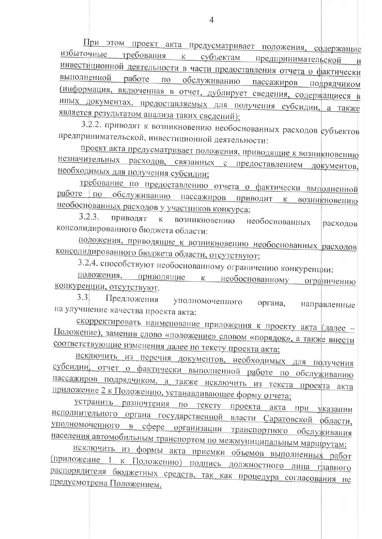При этом проект акта предусматривает положения, содержащие избыточные требования к субъектам предпринимательской И инвестиционной деятельности в части предоставления отчета о фактически выполненной работе по обслуживанию пассажиров подрядчиком (информация, включенная в отчет, дублирует сведения, содержащиеся в иных документах, предоставляемых для получения субсидии, а также является результатом анализа таких сведений);

3.2.2. приводят к возникновению необоснованных расходов субъектов предпринимательской, инвестиционной деятельности:

проект акта предусматривает положения, приводящие к возникновению незначительных расходов, связанных с предоставлением документов, необходимых для получения субсидии;

требование по предоставлению отчета о фактически выполненной работе по обслуживанию пассажиров приводит к возникновению необоснованных расходов у участников конкурса;

 $3.2.3.$ приводят  ${\bf K}$ возникновению необоснованных расходов консолидированного бюджета области:

положения, приводящие к возникновению необоснованных расходов консолидированного бюджета области, отсутствуют;

3.2.4. способствуют необоснованному ограничению конкуренции:

положения, приводящие к необоснованному ограничению конкуренции, отсутствуют.

 $3.3!$ Предложения уполномоченного органа, направленные на улучшение качества проекта акта:

скорректировать наименование приложения к проекту акта (далее -Положение), заменив слово «положение» словом «порядок», а также внести соответствующие изменения далее по тексту проекта акта;

исключить из перечня документов, необходимых для получения субсидии, отчет о фактически выполненной работе по обслуживанию пассажиров подрядчиком, а также исключить из текста проекта акта приложение 2 к Положению, устанавливающее форму отчета;

устранить разночтения по тексту проекта акта при указании исполнительного органа государственной власти Саратовской области, уполномоченного в сфере организации транспортного обслуживания населения автомобильным транспортом по межмуниципальным маршрутам;

исключить из формы акта приемки объемов выполненных работ (приложение 1 к Положению) подпись должностного лица главного распорядителя бюджетных средств, так как процедура согласования не предусмотрена Положением.